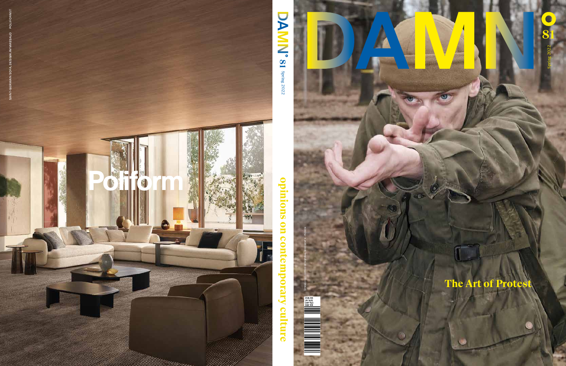

**81**

Spring 2022

pring 2022

EUR €15<br>UK 13,5£<br>CHF 16,5<br>SEK 169